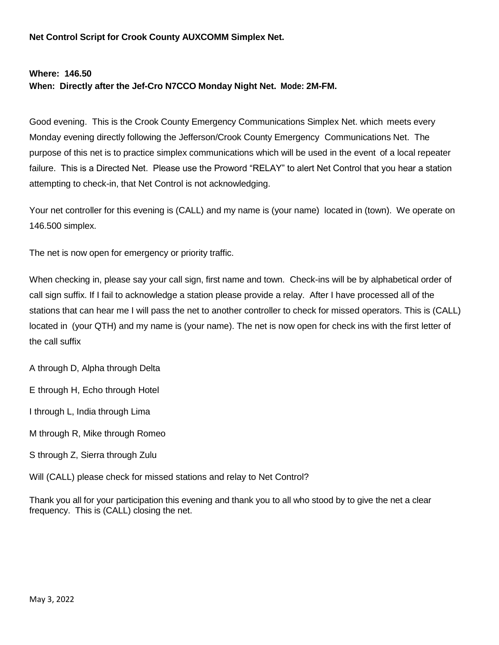**Net Control Script for Crook County AUXCOMM Simplex Net.**

## **Where: 146.50 When: Directly after the Jef-Cro N7CCO Monday Night Net. Mode: 2M-FM.**

Good evening. This is the Crook County Emergency Communications Simplex Net. which meets every Monday evening directly following the Jefferson/Crook County Emergency Communications Net. The purpose of this net is to practice simplex communications which will be used in the event of a local repeater failure. This is a Directed Net. Please use the Proword "RELAY" to alert Net Control that you hear a station attempting to check-in, that Net Control is not acknowledging.

Your net controller for this evening is (CALL) and my name is (your name) located in (town). We operate on 146.500 simplex.

The net is now open for emergency or priority traffic.

When checking in, please say your call sign, first name and town. Check-ins will be by alphabetical order of call sign suffix. If I fail to acknowledge a station please provide a relay. After I have processed all of the stations that can hear me I will pass the net to another controller to check for missed operators. This is (CALL) located in (your QTH) and my name is (your name). The net is now open for check ins with the first letter of the call suffix

A through D, Alpha through Delta

E through H, Echo through Hotel

I through L, India through Lima

M through R, Mike through Romeo

S through Z, Sierra through Zulu

Will (CALL) please check for missed stations and relay to Net Control?

Thank you all for your participation this evening and thank you to all who stood by to give the net a clear frequency. This is (CALL) closing the net.